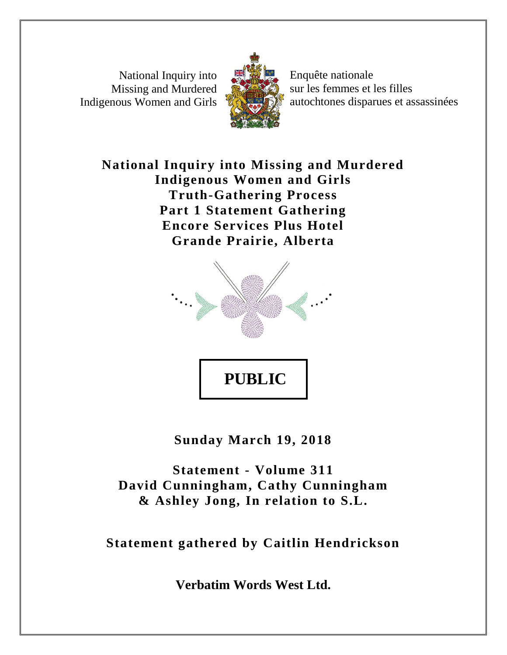National Inquiry into Missing and Murdered Indigenous Women and Girls



Enquête nationale sur les femmes et les filles autochtones disparues et assassinées

**National Inquiry into Missing and Murdered Indigenous Women and Girls Truth-Gathering Process Part 1 Statement Gathering Encore Services Plus Hotel Grande Prairie, Alberta**



**Sunday March 19, 2018**

**Statement - Volume 311 David Cunningham, Cathy Cunningham & Ashley Jong, In relation to S.L.**

**Statement gathered by Caitlin Hendrickson**

**Verbatim Words West Ltd.**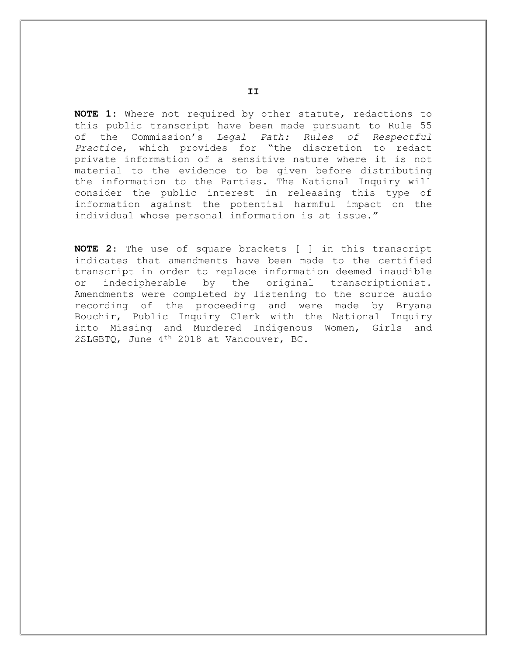**NOTE 1:** Where not required by other statute, redactions to this public transcript have been made pursuant to Rule 55 of the Commission's *Legal Path: Rules of Respectful Practice*, which provides for "the discretion to redact private information of a sensitive nature where it is not material to the evidence to be given before distributing the information to the Parties. The National Inquiry will consider the public interest in releasing this type of information against the potential harmful impact on the individual whose personal information is at issue."

**NOTE 2**: The use of square brackets [ ] in this transcript indicates that amendments have been made to the certified transcript in order to replace information deemed inaudible or indecipherable by the original transcriptionist. Amendments were completed by listening to the source audio recording of the proceeding and were made by Bryana Bouchir, Public Inquiry Clerk with the National Inquiry into Missing and Murdered Indigenous Women, Girls and 2SLGBTQ, June 4th 2018 at Vancouver, BC.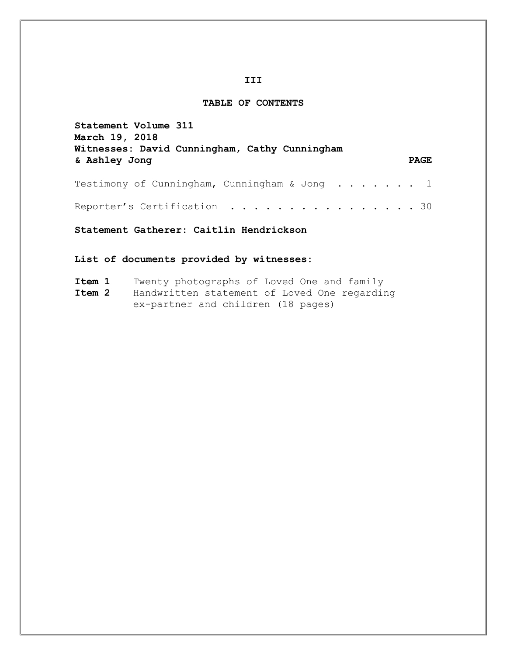## **III**

## **TABLE OF CONTENTS**

| Statement Volume 311<br><b>March 19, 2018</b><br>Witnesses: David Cunningham, Cathy Cunningham |             |
|------------------------------------------------------------------------------------------------|-------------|
| & Ashley Jong                                                                                  | <b>PAGE</b> |
| Testimony of Cunningham, Cunningham & Jong $\ldots$ 1                                          |             |
|                                                                                                |             |
| Statement Gatherer: Caitlin Hendrickson                                                        |             |
| List of documents provided by witnesses:                                                       |             |

| Item 1 |  | Twenty photographs of Loved One and family |  |  |
|--------|--|--------------------------------------------|--|--|
|        |  |                                            |  |  |

**Item 2** Handwritten statement of Loved One regarding ex-partner and children (18 pages)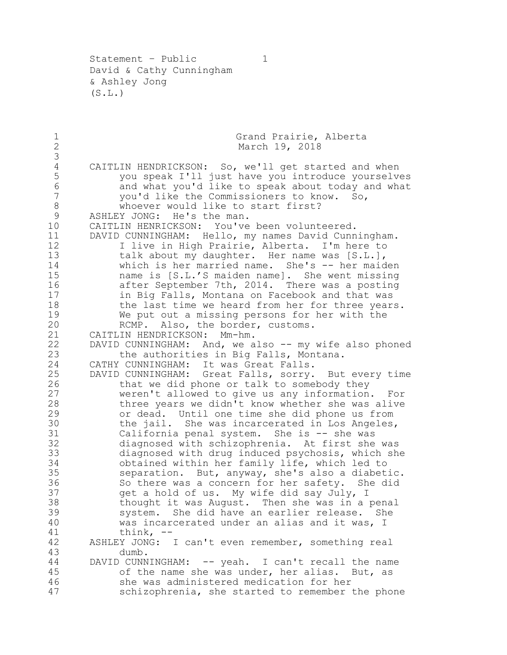Statement - Public 1 David & Cathy Cunningham & Ashley Jong  $(S.L.)$ 

1 Grand Prairie, Alberta<br>2 March 19, 2018 March 19, 2018 4 CAITLIN HENDRICKSON: So, we'll get started and when<br>5 vou speak I'll just have you introduce yourselve you speak I'll just have you introduce yourselves 6 and what you'd like to speak about today and what vou'd like the Commissioners to know. So, you'd like the Commissioners to know. So, 8 whoever would like to start first? ASHLEY JONG: He's the man. CAITLIN HENRICKSON: You've been volunteered. DAVID CUNNINGHAM: Hello, my names David Cunningham. I live in High Prairie, Alberta. I'm here to 13 talk about my daughter. Her name was [S.L.], which is her married name. She's -- her maiden name is [S.L.'S maiden name]. She went missing after September 7th, 2014. There was a posting 17 in Big Falls, Montana on Facebook and that was<br>18 the last time we heard from her for three year the last time we heard from her for three years. 19 We put out a missing persons for her with the 20 KCMP. Also, the border, customs. RCMP. Also, the border, customs. CAITLIN HENDRICKSON: Mm-hm. 22 DAVID CUNNINGHAM: And, we also -- my wife also phoned<br>23 the authorities in Big Falls, Montana. the authorities in Big Falls, Montana. CATHY CUNNINGHAM: It was Great Falls. DAVID CUNNINGHAM: Great Falls, sorry. But every time that we did phone or talk to somebody they weren't allowed to give us any information. For three years we didn't know whether she was alive or dead. Until one time she did phone us from the jail. She was incarcerated in Los Angeles, California penal system. She is -- she was diagnosed with schizophrenia. At first she was diagnosed with drug induced psychosis, which she 34 obtained within her family life, which led to<br>35 separation. But, anyway, she's also a diabet. separation. But, anyway, she's also a diabetic. 36 So there was a concern for her safety. She did<br>37 oet a hold of us. My wife did say July, I get a hold of us. My wife did say July, I thought it was August. Then she was in a penal system. She did have an earlier release. She was incarcerated under an alias and it was, I think, -- ASHLEY JONG: I can't even remember, something real dumb. DAVID CUNNINGHAM: -- yeah. I can't recall the name of the name she was under, her alias. But, as she was administered medication for her schizophrenia, she started to remember the phone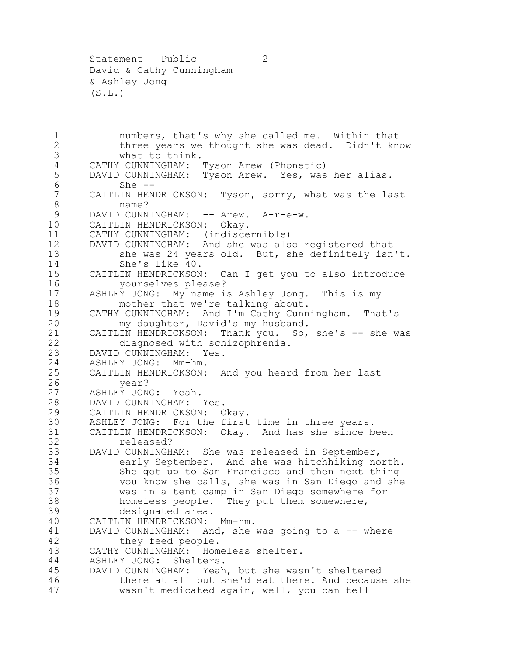1 numbers, that's why she called me. Within that<br>2 three years we thought she was dead. Didn't kn 2 three years we thought she was dead. Didn't know<br>3 what to think. 3 what to think.<br>4 CATHY CUNNINGHAM: CATHY CUNNINGHAM: Tyson Arew (Phonetic) DAVID CUNNINGHAM: Tyson Arew. Yes, was her alias. She -- CAITLIN HENDRICKSON: Tyson, sorry, what was the last name? 9 DAVID CUNNINGHAM: -- Arew. A-r-e-w. CAITLIN HENDRICKSON: Okay. CATHY CUNNINGHAM: (indiscernible) DAVID CUNNINGHAM: And she was also registered that she was 24 years old. But, she definitely isn't. 14 She's like 40.<br>15 CAITLIN HENDRICKSON CAITLIN HENDRICKSON: Can I get you to also introduce yourselves please? ASHLEY JONG: My name is Ashley Jong. This is my 18 mother that we're talking about.<br>19 CATHY CUNNINGHAM: And I'm Cathy Cunn 19 CATHY CUNNINGHAM: And I'm Cathy Cunningham. That's<br>20 my daughter, David's my husband. my daughter, David's my husband. CAITLIN HENDRICKSON: Thank you. So, she's -- she was diagnosed with schizophrenia. DAVID CUNNINGHAM: Yes. ASHLEY JONG: Mm-hm. CAITLIN HENDRICKSON: And you heard from her last year? ASHLEY JONG: Yeah. DAVID CUNNINGHAM: Yes. CAITLIN HENDRICKSON: Okay. 30 ASHLEY JONG: For the first time in three years.<br>31 CAITLIN HENDRICKSON: Okay. And has she since b 31 CAITLIN HENDRICKSON: Okay. And has she since been<br>32 feleased? released? DAVID CUNNINGHAM: She was released in September, early September. And she was hitchhiking north. She got up to San Francisco and then next thing you know she calls, she was in San Diego and she was in a tent camp in San Diego somewhere for homeless people. They put them somewhere, designated area. CAITLIN HENDRICKSON: Mm-hm. DAVID CUNNINGHAM: And, she was going to a -- where they feed people. CATHY CUNNINGHAM: Homeless shelter. ASHLEY JONG: Shelters. DAVID CUNNINGHAM: Yeah, but she wasn't sheltered there at all but she'd eat there. And because she wasn't medicated again, well, you can tell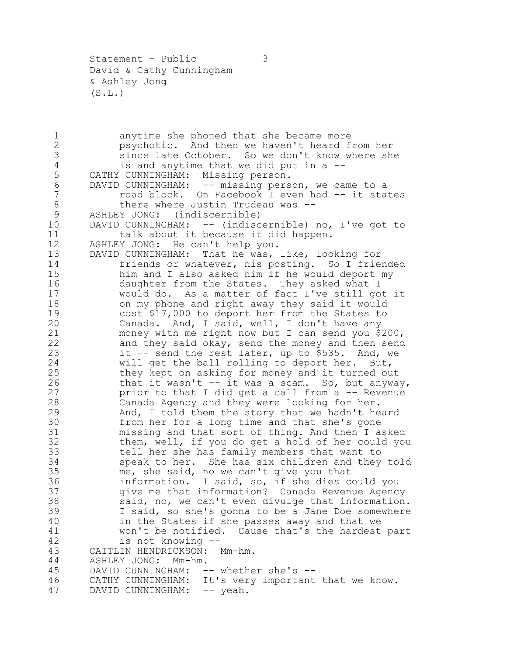Statement - Public 3 David & Cathy Cunningham & Ashley Jong  $(S.L.)$ 

1 anytime she phoned that she became more<br>2 psychotic. And then we haven't heard f 2 psychotic. And then we haven't heard from her<br>3 since late October. So we don't know where sh 3 since late October. So we don't know where she<br>4 is and anytime that we did put in a --4 is and anytime that we did put in a --<br>5 CATHY CUNNINGHAM: Missing person. CATHY CUNNINGHAM: Missing person. DAVID CUNNINGHAM: -- missing person, we came to a 7 road block. On Facebook I even had -- it states 8 there where Justin Trudeau was -- ASHLEY JONG: (indiscernible) DAVID CUNNINGHAM: -- (indiscernible) no, I've got to 11 talk about it because it did happen. ASHLEY JONG: He can't help you. DAVID CUNNINGHAM: That he was, like, looking for friends or whatever, his posting. So I friended him and I also asked him if he would deport my daughter from the States. They asked what I would do. As a matter of fact I've still got it 18 on my phone and right away they said it would<br>19 cost \$17,000 to deport her from the States to 19 cost \$17,000 to deport her from the States to<br>20 Canada. And, I said, well, I don't have any Canada. And, I said, well, I don't have any money with me right now but I can send you \$200, and they said okay, send the money and then send 23 it  $-$  send the rest later, up to  $\overline{5}$ 535. And, we will get the ball rolling to deport her. But, they kept on asking for money and it turned out that it wasn't -- it was a scam. So, but anyway, prior to that I did get a call from a -- Revenue Canada Agency and they were looking for her. And, I told them the story that we hadn't heard from her for a long time and that she's gone missing and that sort of thing. And then I asked them, well, if you do get a hold of her could you tell her she has family members that want to speak to her. She has six children and they told me, she said, no we can't give you that information. I said, so, if she dies could you give me that information? Canada Revenue Agency said, no, we can't even divulge that information. I said, so she's gonna to be a Jane Doe somewhere in the States if she passes away and that we won't be notified. Cause that's the hardest part is not knowing -- CAITLIN HENDRICKSON: Mm-hm. ASHLEY JONG: Mm-hm. 45 DAVID CUNNINGHAM: -- whether she's --<br>46 CATHY CUNNINGHAM: It's very important CATHY CUNNINGHAM: It's very important that we know. 47 DAVID CUNNINGHAM: -- yeah.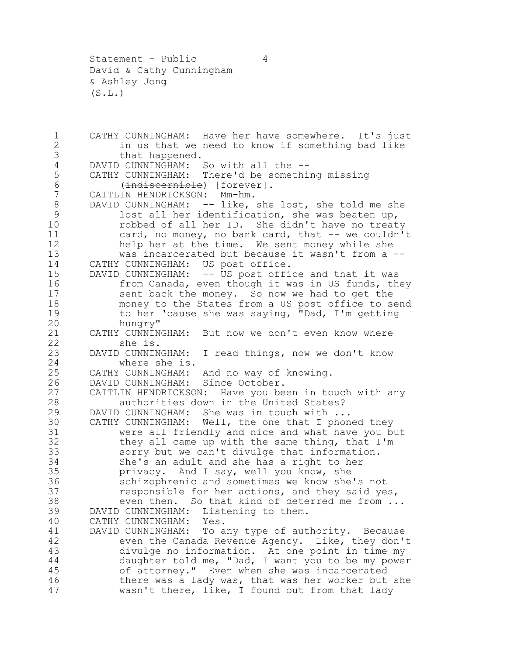Statement – Public 4 David & Cathy Cunningham & Ashley Jong  $(S.L.)$ 

1 CATHY CUNNINGHAM: Have her have somewhere. It's just<br>2 in us that we need to know if something bad like 2 in us that we need to know if something bad like<br>3 that happened. 3 that happened.<br>4 DAVID CUNNINGHAM: 4 DAVID CUNNINGHAM: So with all the --<br>5 CATHY CUNNINGHAM: There'd be somethi CATHY CUNNINGHAM: There'd be something missing (indiscernible) [forever]. CAITLIN HENDRICKSON: Mm-hm. 8 DAVID CUNNINGHAM: -- like, she lost, she told me she lost all her identification, she was beaten up, robbed of all her ID. She didn't have no treaty card, no money, no bank card, that -- we couldn't help her at the time. We sent money while she was incarcerated but because it wasn't from a -- CATHY CUNNINGHAM: US post office. DAVID CUNNINGHAM: -- US post office and that it was 16 from Canada, even though it was in US funds, they sent back the money. So now we had to get the 18 money to the States from a US post office to send<br>19 to her 'cause she was saying, "Dad, I'm getting 19 to her 'cause she was saying, "Dad, I'm getting<br>20 hungry" hungry" CATHY CUNNINGHAM: But now we don't even know where she is. DAVID CUNNINGHAM: I read things, now we don't know where she is. CATHY CUNNINGHAM: And no way of knowing. DAVID CUNNINGHAM: Since October. CAITLIN HENDRICKSON: Have you been in touch with any authorities down in the United States? DAVID CUNNINGHAM: She was in touch with ... 30 CATHY CUNNINGHAM: Well, the one that I phoned they<br>31 were all friendly and nice and what have you b 31 were all friendly and nice and what have you but<br>32 they all came up with the same thing, that I'm they all came up with the same thing, that  $I'm$  sorry but we can't divulge that information. She's an adult and she has a right to her privacy. And I say, well you know, she schizophrenic and sometimes we know she's not responsible for her actions, and they said yes, even then. So that kind of deterred me from ... DAVID CUNNINGHAM: Listening to them. CATHY CUNNINGHAM: Yes. DAVID CUNNINGHAM: To any type of authority. Because even the Canada Revenue Agency. Like, they don't divulge no information. At one point in time my daughter told me, "Dad, I want you to be my power of attorney." Even when she was incarcerated there was a lady was, that was her worker but she 47 wasn't there, like, I found out from that lady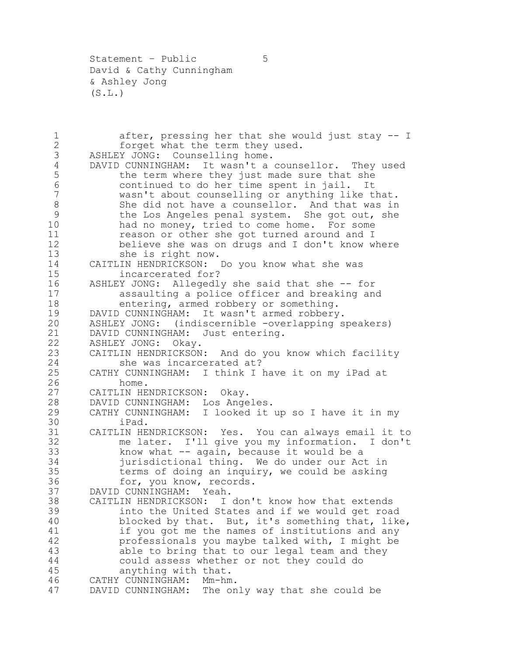Statement - Public 5 David & Cathy Cunningham & Ashley Jong  $(S.L.)$ 

1 after, pressing her that she would just stay -- I<br>2 forget what the term they used. 2 forget what the term they used.<br>3 ASHLEY JONG: Counselling home. ASHLEY JONG: Counselling home. DAVID CUNNINGHAM: It wasn't a counsellor. They used 5 the term where they just made sure that she continued to do her time spent in jail. It wasn't about counselling or anything like that. She did not have a counsellor. And that was in the Los Angeles penal system. She got out, she had no money, tried to come home. For some reason or other she got turned around and I believe she was on drugs and I don't know where she is right now. CAITLIN HENDRICKSON: Do you know what she was incarcerated for? ASHLEY JONG: Allegedly she said that she -- for assaulting a police officer and breaking and 18 entering, armed robbery or something.<br>19 DAVID CUNNINGHAM: It wasn't armed robbery 19 DAVID CUNNINGHAM: It wasn't armed robbery.<br>20 ASHLEY JONG: (indiscernible -overlapping s ASHLEY JONG: (indiscernible -overlapping speakers) DAVID CUNNINGHAM: Just entering. ASHLEY JONG: Okay. CAITLIN HENDRICKSON: And do you know which facility she was incarcerated at? CATHY CUNNINGHAM: I think I have it on my iPad at home. CAITLIN HENDRICKSON: Okay. DAVID CUNNINGHAM: Los Angeles. CATHY CUNNINGHAM: I looked it up so I have it in my 30 iPad.<br>31 CAITLIN HE CAITLIN HENDRICKSON: Yes. You can always email it to me later. I'll give you my information. I don't know what -- again, because it would be a jurisdictional thing. We do under our Act in terms of doing an inquiry, we could be asking for, you know, records. DAVID CUNNINGHAM: Yeah. CAITLIN HENDRICKSON: I don't know how that extends into the United States and if we would get road blocked by that. But, it's something that, like, if you got me the names of institutions and any professionals you maybe talked with, I might be able to bring that to our legal team and they could assess whether or not they could do anything with that. CATHY CUNNINGHAM: Mm-hm. DAVID CUNNINGHAM: The only way that she could be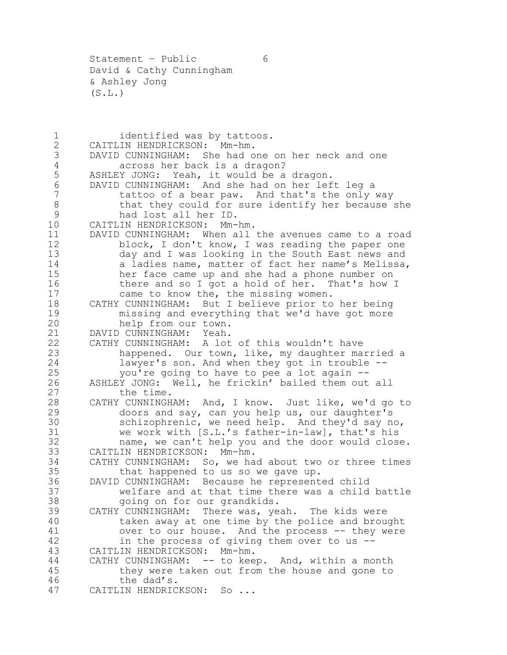Statement – Public 6 David & Cathy Cunningham & Ashley Jong  $(S.L.)$ 

1 identified was by tattoos.<br>2 CAITLIN HENDRICKSON: Mm-hm. 2 CAITLIN HENDRICKSON: Mm-hm.<br>3 DAVID CUNNINGHAM: She had o DAVID CUNNINGHAM: She had one on her neck and one across her back is a dragon? ASHLEY JONG: Yeah, it would be a dragon. DAVID CUNNINGHAM: And she had on her left leg a 7 tattoo of a bear paw. And that's the only way 8 that they could for sure identify her because she had lost all her ID. CAITLIN HENDRICKSON: Mm-hm. DAVID CUNNINGHAM: When all the avenues came to a road 12 block, I don't know, I was reading the paper one day and I was looking in the South East news and 14 a ladies name, matter of fact her name's Melissa, her face came up and she had a phone number on 16 there and so I got a hold of her. That's how I came to know the, the missing women. CATHY CUNNINGHAM: But I believe prior to her being 19 missing and everything that we'd have got more<br>20 help from our town. help from our town. DAVID CUNNINGHAM: Yeah. CATHY CUNNINGHAM: A lot of this wouldn't have happened. Our town, like, my daughter married a lawyer's son. And when they got in trouble -- you're going to have to pee a lot again -- ASHLEY JONG: Well, he frickin' bailed them out all 27 the time. CATHY CUNNINGHAM: And, I know. Just like, we'd go to doors and say, can you help us, our daughter's 30 schizophrenic, we need help. And they'd say no,<br>31 we work with [S.L.'s father-in-law], that's his we work with [S.L.'s father-in-law], that's his name, we can't help you and the door would close. CAITLIN HENDRICKSON: Mm-hm. CATHY CUNNINGHAM: So, we had about two or three times that happened to us so we gave up. DAVID CUNNINGHAM: Because he represented child welfare and at that time there was a child battle going on for our grandkids. CATHY CUNNINGHAM: There was, yeah. The kids were taken away at one time by the police and brought over to our house. And the process -- they were in the process of giving them over to us -- CAITLIN HENDRICKSON: Mm-hm. CATHY CUNNINGHAM: -- to keep. And, within a month they were taken out from the house and gone to the dad's. CAITLIN HENDRICKSON: So ...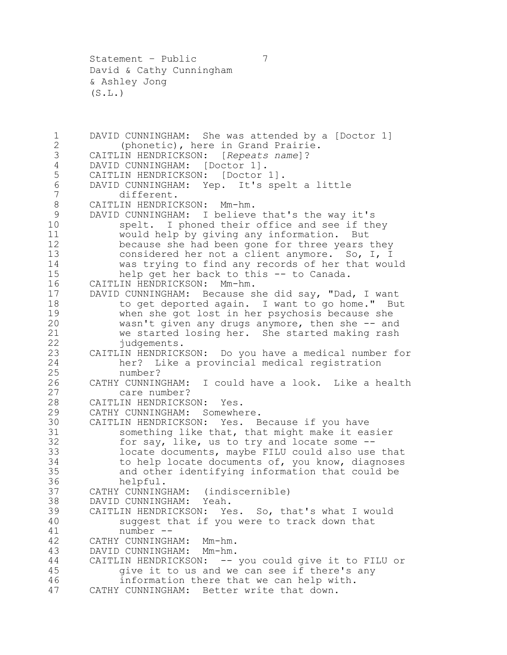Statement – Public 7 David & Cathy Cunningham & Ashley Jong  $(S.L.)$ 

1 DAVID CUNNINGHAM: She was attended by a [Doctor 1]<br>2 (phonetic), here in Grand Prairie. 2 (phonetic), here in Grand Prairie.<br>3 CAITLIN HENDRICKSON: [Repeats name]? CAITLIN HENDRICKSON: [*Repeats name*]? DAVID CUNNINGHAM: [Doctor 1]. CAITLIN HENDRICKSON: [Doctor 1]. DAVID CUNNINGHAM: Yep. It's spelt a little different. CAITLIN HENDRICKSON: Mm-hm. DAVID CUNNINGHAM: I believe that's the way it's spelt. I phoned their office and see if they would help by giving any information. But because she had been gone for three years they considered her not a client anymore. So, I, I 14 was trying to find any records of her that would<br>15 help get her back to this -- to Canada. help get her back to this -- to Canada. CAITLIN HENDRICKSON: Mm-hm. DAVID CUNNINGHAM: Because she did say, "Dad, I want 18 to get deported again. I want to go home." But<br>19 when she got lost in her psychosis because she 19 when she got lost in her psychosis because she<br>20 wasn't given any drugs anymore, then she -- an wasn't given any drugs anymore, then she  $-$  and we started losing her. She started making rash 22 judgements. CAITLIN HENDRICKSON: Do you have a medical number for her? Like a provincial medical registration number? CATHY CUNNINGHAM: I could have a look. Like a health care number? CAITLIN HENDRICKSON: Yes. CATHY CUNNINGHAM: Somewhere. CAITLIN HENDRICKSON: Yes. Because if you have 31 something like that, that might make it easier<br>32 for say, like, us to try and locate some -for say, like, us to try and locate some  $-$ - locate documents, maybe FILU could also use that to help locate documents of, you know, diagnoses and other identifying information that could be helpful. CATHY CUNNINGHAM: (indiscernible) DAVID CUNNINGHAM: Yeah. CAITLIN HENDRICKSON: Yes. So, that's what I would suggest that if you were to track down that number -- CATHY CUNNINGHAM: Mm-hm. DAVID CUNNINGHAM: Mm-hm. CAITLIN HENDRICKSON: -- you could give it to FILU or give it to us and we can see if there's any information there that we can help with. CATHY CUNNINGHAM: Better write that down.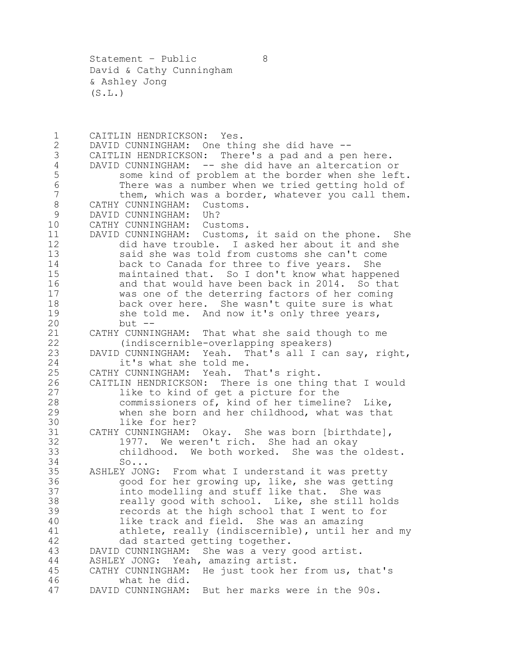Statement - Public 8 David & Cathy Cunningham & Ashley Jong  $(S.L.)$ 

1 CAITLIN HENDRICKSON: Yes.<br>2 DAVID CUNNINGHAM: One thi 2 DAVID CUNNINGHAM: One thing she did have --<br>3 CAITLIN HENDRICKSON: There's a pad and a pe CAITLIN HENDRICKSON: There's a pad and a pen here. DAVID CUNNINGHAM: -- she did have an altercation or some kind of problem at the border when she left. There was a number when we tried getting hold of them, which was a border, whatever you call them. CATHY CUNNINGHAM: Customs. DAVID CUNNINGHAM: Uh? CATHY CUNNINGHAM: Customs. DAVID CUNNINGHAM: Customs, it said on the phone. She did have trouble. I asked her about it and she said she was told from customs she can't come back to Canada for three to five years. She maintained that. So I don't know what happened and that would have been back in 2014. So that was one of the deterring factors of her coming 18 back over here. She wasn't quite sure is what<br>19 she told me. And now it's only three years, 19 she told me. And now it's only three years,<br>20 but - $but --$  CATHY CUNNINGHAM: That what she said though to me (indiscernible-overlapping speakers) DAVID CUNNINGHAM: Yeah. That's all I can say, right, it's what she told me. CATHY CUNNINGHAM: Yeah. That's right. CAITLIN HENDRICKSON: There is one thing that I would like to kind of get a picture for the commissioners of, kind of her timeline? Like, when she born and her childhood, what was that 30 like for her?<br>31 CATHY CUNNINGHAM: 31 CATHY CUNNINGHAM: Okay. She was born [birthdate],<br>32 1977. We weren't rich. She had an okav 1977. We weren't rich. She had an okay childhood. We both worked. She was the oldest. So... ASHLEY JONG: From what I understand it was pretty good for her growing up, like, she was getting into modelling and stuff like that. She was really good with school. Like, she still holds records at the high school that I went to for like track and field. She was an amazing athlete, really (indiscernible), until her and my dad started getting together. DAVID CUNNINGHAM: She was a very good artist. ASHLEY JONG: Yeah, amazing artist. CATHY CUNNINGHAM: He just took her from us, that's what he did. DAVID CUNNINGHAM: But her marks were in the 90s.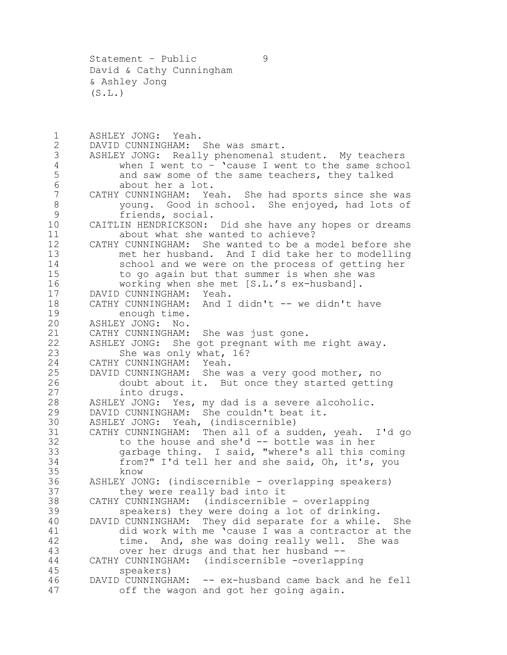Statement – Public 9 David & Cathy Cunningham & Ashley Jong  $(S.L.)$ 

1 ASHLEY JONG: Yeah.<br>2 DAVID CUNNINGHAM: 2 DAVID CUNNINGHAM: She was smart.<br>3 ASHLEY JONG: Really phenomenal s ASHLEY JONG: Really phenomenal student. My teachers when I went to  $-$  'cause I went to the same school and saw some of the same teachers, they talked about her a lot. CATHY CUNNINGHAM: Yeah. She had sports since she was young. Good in school. She enjoyed, had lots of friends, social. CAITLIN HENDRICKSON: Did she have any hopes or dreams about what she wanted to achieve? CATHY CUNNINGHAM: She wanted to be a model before she met her husband. And I did take her to modelling 14 school and we were on the process of getting her<br>15 to go again but that summer is when she was to go again but that summer is when she was working when she met [S.L.'s ex-husband]. DAVID CUNNINGHAM: Yeah. 18 CATHY CUNNINGHAM: And I didn't -- we didn't have<br>19 enough time. 19 enough time.<br>20 ASHLEY JONG: No. ASHLEY JONG: No. CATHY CUNNINGHAM: She was just gone. ASHLEY JONG: She got pregnant with me right away. She was only what, 16? CATHY CUNNINGHAM: Yeah. DAVID CUNNINGHAM: She was a very good mother, no doubt about it. But once they started getting into drugs. ASHLEY JONG: Yes, my dad is a severe alcoholic. DAVID CUNNINGHAM: She couldn't beat it. 30 ASHLEY JONG: Yeah, (indiscernible)<br>31 CATHY CUNNINGHAM: Then all of a su 31 CATHY CUNNINGHAM: Then all of a sudden, yeah. I'd go<br>32 to the house and she'd -- bottle was in her to the house and she'd  $--$  bottle was in her garbage thing. I said, "where's all this coming from?" I'd tell her and she said, Oh, it's, you 35 know<br>36 ASHLEY JO ASHLEY JONG: (indiscernible - overlapping speakers) they were really bad into it CATHY CUNNINGHAM: (indiscernible - overlapping speakers) they were doing a lot of drinking. DAVID CUNNINGHAM: They did separate for a while. She did work with me 'cause I was a contractor at the time. And, she was doing really well. She was over her drugs and that her husband -- CATHY CUNNINGHAM: (indiscernible -overlapping speakers) DAVID CUNNINGHAM: -- ex-husband came back and he fell off the wagon and got her going again.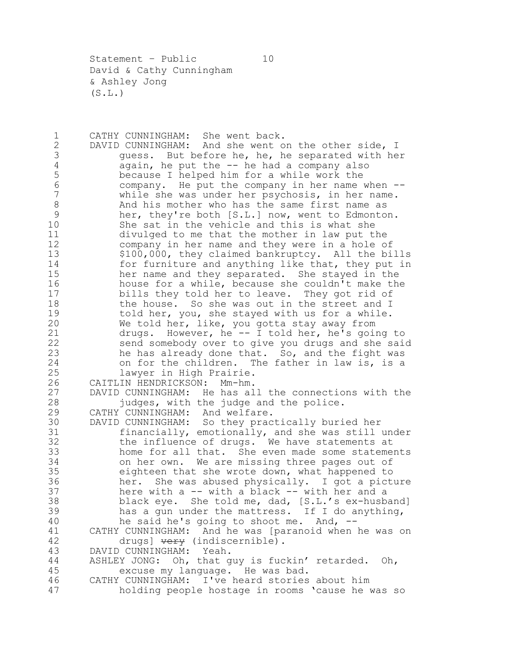Statement - Public 10 David & Cathy Cunningham & Ashley Jong  $(S.L.)$ 

1 CATHY CUNNINGHAM: She went back.<br>2 DAVID CUNNINGHAM: And she went o 2 DAVID CUNNINGHAM: And she went on the other side, I<br>3 duess. But before he, he, he separated with he 3 guess. But before he, he, he separated with her<br>4 again, he put the -- he had a company also 4 again, he put the -- he had a company also<br>5 because I helped him for a while work the because I helped him for a while work the company. He put the company in her name when -- while she was under her psychosis, in her name. And his mother who has the same first name as her, they're both [S.L.] now, went to Edmonton. She sat in the vehicle and this is what she divulged to me that the mother in law put the company in her name and they were in a hole of \$100,000, they claimed bankruptcy. All the bills 14 for furniture and anything like that, they put in<br>15 her name and they separated. She staved in the her name and they separated. She stayed in the house for a while, because she couldn't make the bills they told her to leave. They got rid of 18 the house. So she was out in the street and I<br>19 told her, you, she stayed with us for a while. 19 told her, you, she stayed with us for a while.<br>20 We told her, like, you gotta stay away from We told her, like, you gotta stay away from drugs. However, he -- I told her, he's going to send somebody over to give you drugs and she said he has already done that. So, and the fight was on for the children. The father in law is, is a lawyer in High Prairie. CAITLIN HENDRICKSON: Mm-hm. DAVID CUNNINGHAM: He has all the connections with the judges, with the judge and the police. CATHY CUNNINGHAM: And welfare. 30 DAVID CUNNINGHAM: So they practically buried her<br>31 financially, emotionally, and she was still 31 financially, emotionally, and she was still under<br>32 the influence of drugs. We have statements at the influence of drugs. We have statements at home for all that. She even made some statements on her own. We are missing three pages out of eighteen that she wrote down, what happened to her. She was abused physically. I got a picture here with a -- with a black -- with her and a black eye. She told me, dad, [S.L.'s ex-husband] has a gun under the mattress. If I do anything, he said he's going to shoot me. And, -- CATHY CUNNINGHAM: And he was [paranoid when he was on 42 drugs] very (indiscernible). DAVID CUNNINGHAM: Yeah. ASHLEY JONG: Oh, that guy is fuckin' retarded. Oh, excuse my language. He was bad. CATHY CUNNINGHAM: I've heard stories about him holding people hostage in rooms 'cause he was so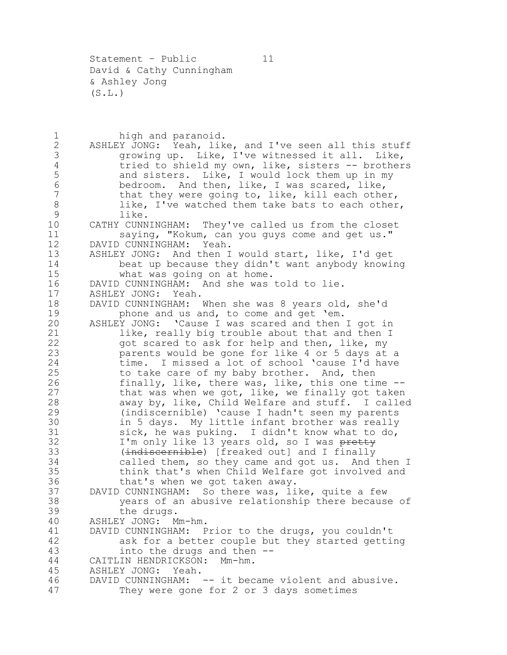Statement - Public 11 David & Cathy Cunningham & Ashley Jong  $(S.L.)$ 

1 high and paranoid.<br>2 ASHLEY JONG: Yeah, lik 2 ASHLEY JONG: Yeah, like, and I've seen all this stuff<br>3 (growing up. Like, I've witnessed it all. Like, 3 growing up. Like, I've witnessed it all. Like,<br>4 tried to shield my own, like, sisters -- brother 4 tried to shield my own, like, sisters -- brothers<br>5 and sisters. Like, I would lock them up in my and sisters. Like, I would lock them up in my 6 bedroom. And then, like, I was scared, like, 7 that they were going to, like, kill each other, 8 like, I've watched them take bats to each other, 9 like. 10 CATHY CUNNINGHAM: They've called us from the closet 11 saying, "Kokum, can you guys come and get us." 12 DAVID CUNNINGHAM: Yeah. 13 ASHLEY JONG: And then I would start, like, I'd get 14 beat up because they didn't want anybody knowing<br>15 what was going on at home. 15 what was going on at home.<br>16 DAVID CUNNINGHAM: And she was DAVID CUNNINGHAM: And she was told to lie. 17 ASHLEY JONG: Yeah. 18 DAVID CUNNINGHAM: When she was 8 years old, she'd<br>19 bhone and us and, to come and get 'em. 19 phone and us and, to come and get 'em.<br>20 ASHLEY JONG: 'Cause I was scared and then ASHLEY JONG: 'Cause I was scared and then I got in 21 like, really big trouble about that and then I 22 got scared to ask for help and then, like, my 23 parents would be gone for like 4 or 5 days at a 24 time. I missed a lot of school 'cause I'd have 25 to take care of my baby brother. And, then 26 finally, like, there was, like, this one time -- 27 that was when we got, like, we finally got taken 28 away by, like, Child Welfare and stuff. I called 29 (indiscernible) 'cause I hadn't seen my parents 30 in 5 days. My little infant brother was really<br>31 sick, he was puking. I didn't know what to do, 31 sick, he was puking. I didn't know what to do,<br>32 I'm only like 13 years old, so I was pretty I'm only like 13 years old, so I was pretty 33 (indiscernible) [freaked out] and I finally 34 called them, so they came and got us. And then I 35 think that's when Child Welfare got involved and 36 that's when we got taken away. 37 DAVID CUNNINGHAM: So there was, like, quite a few 38 years of an abusive relationship there because of 39 the drugs. 40 ASHLEY JONG: Mm-hm. 41 DAVID CUNNINGHAM: Prior to the drugs, you couldn't 42 ask for a better couple but they started getting 43 into the drugs and then -- 44 CAITLIN HENDRICKSON: Mm-hm. 45 ASHLEY JONG: Yeah. 46 DAVID CUNNINGHAM: -- it became violent and abusive. 47 They were gone for 2 or 3 days sometimes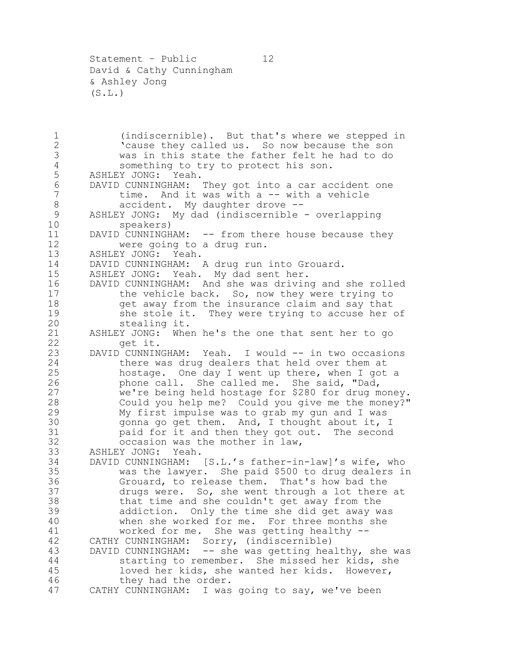Statement – Public 12 David & Cathy Cunningham & Ashley Jong  $(S.L.)$ 

1 (indiscernible). But that's where we stepped in<br>2 Cause they called us. So now because the son 2 The cause they called us. So now because the son<br>3 Was in this state the father felt he had to do was in this state the father felt he had to do 4 something to try to protect his son.<br>5 ASHLEY JONG: Yeah. ASHLEY JONG: Yeah. DAVID CUNNINGHAM: They got into a car accident one 7 time. And it was with a -- with a vehicle 8 accident. My daughter drove -- ASHLEY JONG: My dad (indiscernible - overlapping speakers) DAVID CUNNINGHAM: -- from there house because they were going to a drug run. ASHLEY JONG: Yeah. DAVID CUNNINGHAM: A drug run into Grouard. ASHLEY JONG: Yeah. My dad sent her. DAVID CUNNINGHAM: And she was driving and she rolled 17 the vehicle back. So, now they were trying to 18 get away from the insurance claim and say that<br>19 she stole it. They were trying to accuse her 19 she stole it. They were trying to accuse her of<br>20 stealing it. stealing it. ASHLEY JONG: When he's the one that sent her to go get it. 23 DAVID CUNNINGHAM: Yeah. I would -- in two occasions there was drug dealers that held over them at hostage. One day I went up there, when I got a phone call. She called me. She said, "Dad, we're being held hostage for \$280 for drug money. Could you help me? Could you give me the money?" My first impulse was to grab my gun and I was 30 gonna go get them. And, I thought about it, I<br>31 baid for it and then they got out. The second 31 paid for it and then they got out. The second<br>32 occasion was the mother in law. occasion was the mother in law, ASHLEY JONG: Yeah. DAVID CUNNINGHAM: [S.L.'s father-in-law]'s wife, who was the lawyer. She paid \$500 to drug dealers in Grouard, to release them. That's how bad the drugs were. So, she went through a lot there at that time and she couldn't get away from the addiction. Only the time she did get away was when she worked for me. For three months she worked for me. She was getting healthy -- CATHY CUNNINGHAM: Sorry, (indiscernible) DAVID CUNNINGHAM: -- she was getting healthy, she was starting to remember. She missed her kids, she loved her kids, she wanted her kids. However, they had the order. CATHY CUNNINGHAM: I was going to say, we've been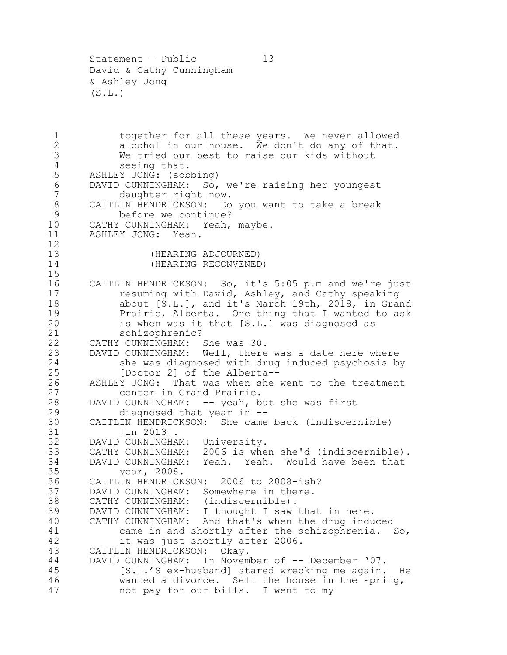Statement – Public 13 David & Cathy Cunningham & Ashley Jong  $(S.L.)$ 

1 together for all these years. We never allowed<br>2 alcohol in our house. We don't do any of that. 2 alcohol in our house. We don't do any of that.<br>3 We tried our best to raise our kids without We tried our best to raise our kids without 4 seeing that.<br>5 ASHLEY JONG: (sob ASHLEY JONG: (sobbing) DAVID CUNNINGHAM: So, we're raising her youngest daughter right now. CAITLIN HENDRICKSON: Do you want to take a break before we continue? CATHY CUNNINGHAM: Yeah, maybe. ASHLEY JONG: Yeah. (HEARING ADJOURNED) (HEARING RECONVENED) CAITLIN HENDRICKSON: So, it's 5:05 p.m and we're just resuming with David, Ashley, and Cathy speaking 18 about [S.L.], and it's March 19th, 2018, in Grand<br>19 Prairie, Alberta. One thing that I wanted to ask 19 Prairie, Alberta. One thing that I wanted to ask<br>20 is when was it that [S.L.] was diagnosed as is when was it that [S.L.] was diagnosed as schizophrenic? CATHY CUNNINGHAM: She was 30. DAVID CUNNINGHAM: Well, there was a date here where she was diagnosed with drug induced psychosis by [Doctor 2] of the Alberta-- ASHLEY JONG: That was when she went to the treatment center in Grand Prairie. DAVID CUNNINGHAM: -- yeah, but she was first diagnosed that year in -- 30 CAITLIN HENDRICKSON: She came back (indiscernible)<br>31 [in 2013]. 31 [in 2013].<br>32 DAVID CUNNINGHA DAVID CUNNINGHAM: University. CATHY CUNNINGHAM: 2006 is when she'd (indiscernible). DAVID CUNNINGHAM: Yeah. Yeah. Would have been that year, 2008. CAITLIN HENDRICKSON: 2006 to 2008-ish? DAVID CUNNINGHAM: Somewhere in there. CATHY CUNNINGHAM: (indiscernible). DAVID CUNNINGHAM: I thought I saw that in here. CATHY CUNNINGHAM: And that's when the drug induced came in and shortly after the schizophrenia. So, it was just shortly after 2006. CAITLIN HENDRICKSON: Okay. 44 DAVID CUNNINGHAM: In November of -- December '07. [S.L.'S ex-husband] stared wrecking me again. He wanted a divorce. Sell the house in the spring, not pay for our bills. I went to my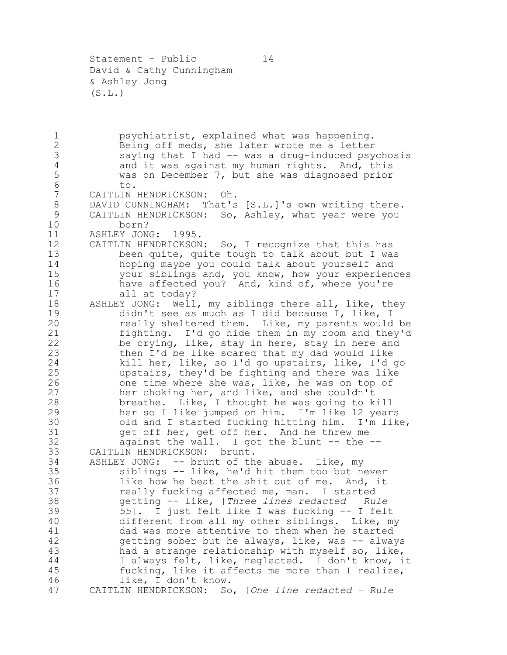Statement - Public 14 David & Cathy Cunningham & Ashley Jong  $(S.L.)$ 

1 psychiatrist, explained what was happening.<br>2 Being off meds, she later wrote me a letter 2 Being off meds, she later wrote me a letter<br>3 saying that I had -- was a drug-induced psy saying that I had -- was a drug-induced psychosis 4 and it was against my human rights. And, this<br>5 was on December 7, but she was diagnosed prior was on December 7, but she was diagnosed prior to. CAITLIN HENDRICKSON: Oh. DAVID CUNNINGHAM: That's [S.L.]'s own writing there. CAITLIN HENDRICKSON: So, Ashley, what year were you born? ASHLEY JONG: 1995. CAITLIN HENDRICKSON: So, I recognize that this has been quite, quite tough to talk about but I was hoping maybe you could talk about yourself and your siblings and, you know, how your experiences 16 have affected you? And, kind of, where you're all at today? 18 ASHLEY JONG: Well, my siblings there all, like, they<br>19 didn't see as much as I did because I, like, I 19 didn't see as much as I did because I, like, I<br>20 meally sheltered them. Like, my parents would really sheltered them. Like, my parents would be fighting. I'd go hide them in my room and they'd be crying, like, stay in here, stay in here and then I'd be like scared that my dad would like kill her, like, so I'd go upstairs, like, I'd go upstairs, they'd be fighting and there was like one time where she was, like, he was on top of her choking her, and like, and she couldn't breathe. Like, I thought he was going to kill her so I like jumped on him. I'm like 12 years 30 old and I started fucking hitting him. I'm like,<br>31 oet off her, get off her. And he threw me get off her, get off her. And he threw me 32 against the wall. I got the blunt -- the -- CAITLIN HENDRICKSON: brunt. ASHLEY JONG: -- brunt of the abuse. Like, my siblings -- like, he'd hit them too but never like how he beat the shit out of me. And, it really fucking affected me, man. I started getting -- like, [*Three lines redacted – Rule 55*]. I just felt like I was fucking -- I felt different from all my other siblings. Like, my dad was more attentive to them when he started 42 getting sober but he always, like, was -- always had a strange relationship with myself so, like, I always felt, like, neglected. I don't know, it fucking, like it affects me more than I realize, like, I don't know. CAITLIN HENDRICKSON: So, [*One line redacted – Rule*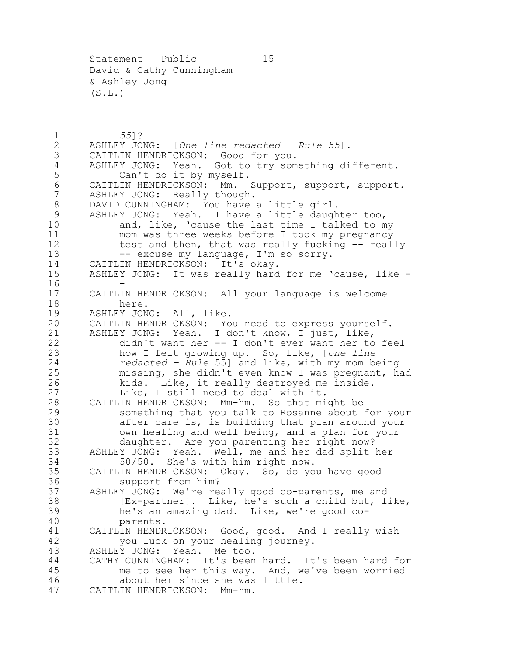Statement – Public 15 David & Cathy Cunningham & Ashley Jong  $(S.L.)$ 

 *55*]? ASHLEY JONG: [*One line redacted – Rule 55*]. CAITLIN HENDRICKSON: Good for you. 4 ASHLEY JONG: Yeah. Got to try something different.<br>5 Can't do it by myself. Can't do it by myself. CAITLIN HENDRICKSON: Mm. Support, support, support. ASHLEY JONG: Really though. 8 DAVID CUNNINGHAM: You have a little girl. ASHLEY JONG: Yeah. I have a little daughter too, and, like, 'cause the last time I talked to my mom was three weeks before I took my pregnancy 12 test and then, that was really fucking -- really 13 -- excuse my language, I'm so sorry. 14 CAITLIN HENDRICKSON: It's okay.<br>15 ASHLEY JONG: It was really hard ASHLEY JONG: It was really hard for me 'cause, like - $16 \\ 17$ CAITLIN HENDRICKSON: All your language is welcome 18 here.<br>19 ASHLEY JON 19 ASHLEY JONG: All, like.<br>20 CAITLIN HENDRICKSON: Yo CAITLIN HENDRICKSON: You need to express yourself. ASHLEY JONG: Yeah. I don't know, I just, like, didn't want her -- I don't ever want her to feel how I felt growing up. So, like, [*one line redacted – Rule* 55] and like, with my mom being missing, she didn't even know I was pregnant, had kids. Like, it really destroyed me inside. Like, I still need to deal with it. CAITLIN HENDRICKSON: Mm-hm. So that might be something that you talk to Rosanne about for your 30 after care is, is building that plan around your<br>31 own healing and well being, and a plan for your 31 own healing and well being, and a plan for your<br>32 daughter. Are you parenting her right now? daughter. Are you parenting her right now? ASHLEY JONG: Yeah. Well, me and her dad split her 50/50. She's with him right now. CAITLIN HENDRICKSON: Okay. So, do you have good support from him? ASHLEY JONG: We're really good co-parents, me and [Ex-partner]. Like, he's such a child but, like, he's an amazing dad. Like, we're good co- parents. CAITLIN HENDRICKSON: Good, good. And I really wish you luck on your healing journey. ASHLEY JONG: Yeah. Me too. CATHY CUNNINGHAM: It's been hard. It's been hard for me to see her this way. And, we've been worried about her since she was little. CAITLIN HENDRICKSON: Mm-hm.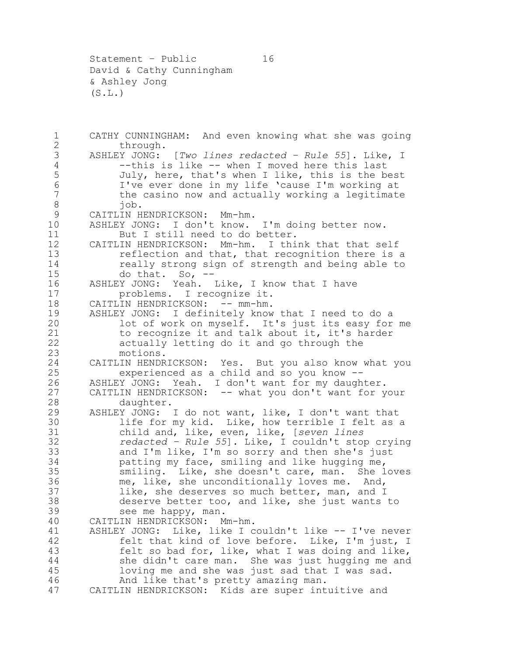Statement – Public 16 David & Cathy Cunningham & Ashley Jong  $(S.L.)$ 

1 CATHY CUNNINGHAM: And even knowing what she was going<br>2 through. 2 through.<br>3 ASHLEY JONG: ASHLEY JONG: [*Two lines redacted – Rule 55*]. Like, I 4 --this is like -- when I moved here this last<br>5 July, here, that's when I like, this is the be July, here, that's when I like, this is the best I've ever done in my life 'cause I'm working at **the casino now and actually working a legitimate**  job. CAITLIN HENDRICKSON: Mm-hm. ASHLEY JONG: I don't know. I'm doing better now. 11 But I still need to do better. CAITLIN HENDRICKSON: Mm-hm. I think that that self reflection and that, that recognition there is a 14 really strong sign of strength and being able to<br>15 do that. So, -do that. So, - ASHLEY JONG: Yeah. Like, I know that I have problems. I recognize it. 18 CAITLIN HENDRICKSON: -- mm-hm.<br>19 ASHLEY JONG: I definitely know 19 ASHLEY JONG: I definitely know that I need to do a<br>20 lot of work on myself. It's just its easy for lot of work on myself. It's just its easy for me to recognize it and talk about it, it's harder actually letting do it and go through the motions. CAITLIN HENDRICKSON: Yes. But you also know what you experienced as a child and so you know -- ASHLEY JONG: Yeah. I don't want for my daughter. CAITLIN HENDRICKSON: -- what you don't want for your daughter. ASHLEY JONG: I do not want, like, I don't want that life for my kid. Like, how terrible I felt as a child and, like, even, like, [*seven lines redacted – Rule 55*]. Like, I couldn't stop crying and I'm like, I'm so sorry and then she's just patting my face, smiling and like hugging me, smiling. Like, she doesn't care, man. She loves me, like, she unconditionally loves me. And, like, she deserves so much better, man, and I deserve better too, and like, she just wants to see me happy, man. CAITLIN HENDRICKSON: Mm-hm. ASHLEY JONG: Like, like I couldn't like -- I've never felt that kind of love before. Like, I'm just, I felt so bad for, like, what I was doing and like, she didn't care man. She was just hugging me and loving me and she was just sad that I was sad. And like that's pretty amazing man. CAITLIN HENDRICKSON: Kids are super intuitive and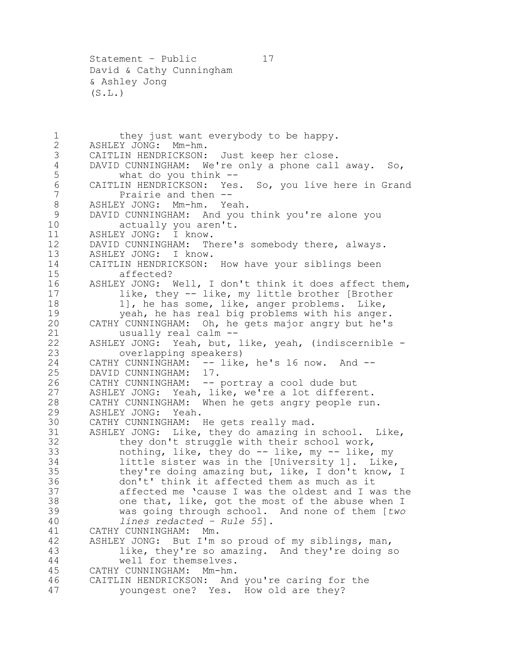Statement – Public 17 David & Cathy Cunningham & Ashley Jong  $(S.L.)$ 

1 they just want everybody to be happy.<br>2 ASHLEY JONG: Mm-hm. 2 ASHLEY JONG: Mm-hm.<br>3 CAITLIN HENDRICKSON: CAITLIN HENDRICKSON: Just keep her close. 4 DAVID CUNNINGHAM: We're only a phone call away. So,<br>5 what do you think -what do you think -- CAITLIN HENDRICKSON: Yes. So, you live here in Grand **Prairie and then --** ASHLEY JONG: Mm-hm. Yeah. DAVID CUNNINGHAM: And you think you're alone you 10 actually you aren't. ASHLEY JONG: I know. DAVID CUNNINGHAM: There's somebody there, always. ASHLEY JONG: I know. 14 CAITLIN HENDRICKSON: How have your siblings been<br>15 affected? affected? ASHLEY JONG: Well, I don't think it does affect them, like, they -- like, my little brother [Brother 18 1], he has some, like, anger problems. Like,<br>19 veah, he has real big problems with his anger 19 yeah, he has real big problems with his anger.<br>20 CATHY CUNNINGHAM: Oh, he gets major angry but he's CATHY CUNNINGHAM: Oh, he gets major angry but he's usually real calm -- ASHLEY JONG: Yeah, but, like, yeah, (indiscernible - overlapping speakers) CATHY CUNNINGHAM: -- like, he's 16 now. And -- DAVID CUNNINGHAM: 17. CATHY CUNNINGHAM: -- portray a cool dude but ASHLEY JONG: Yeah, like, we're a lot different. CATHY CUNNINGHAM: When he gets angry people run. ASHLEY JONG: Yeah. 30 CATHY CUNNINGHAM: He gets really mad.<br>31 ASHLEY JONG: Like, they do amazing in 31 ASHLEY JONG: Like, they do amazing in school. Like,<br>32 they don't struggle with their school work. they don't struggle with their school work, nothing, like, they do -- like, my -- like, my little sister was in the [University 1]. Like, they're doing amazing but, like, I don't know, I don't' think it affected them as much as it affected me 'cause I was the oldest and I was the one that, like, got the most of the abuse when I was going through school. And none of them [*two lines redacted – Rule 55*]. CATHY CUNNINGHAM: Mm. ASHLEY JONG: But I'm so proud of my siblings, man, like, they're so amazing. And they're doing so well for themselves. CATHY CUNNINGHAM: Mm-hm. CAITLIN HENDRICKSON: And you're caring for the youngest one? Yes. How old are they?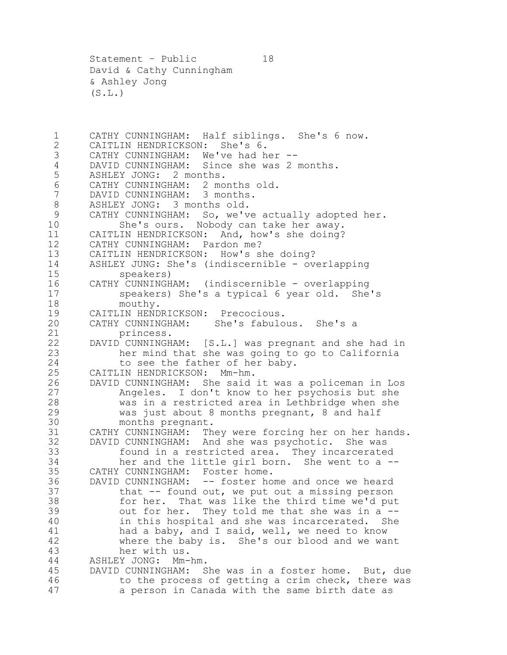Statement – Public 18 David & Cathy Cunningham & Ashley Jong  $(S.L.)$ 

1 CATHY CUNNINGHAM: Half siblings. She's 6 now.<br>2 CAITLIN HENDRICKSON: She's 6. 2 CAITLIN HENDRICKSON: She's 6.<br>3 CATHY CUNNINGHAM: We've had ho 3 CATHY CUNNINGHAM: We've had her --<br>4 DAVID CUNNINGHAM: Since she was 2 DAVID CUNNINGHAM: Since she was 2 months. ASHLEY JONG: 2 months. CATHY CUNNINGHAM: 2 months old. DAVID CUNNINGHAM: 3 months. ASHLEY JONG: 3 months old. CATHY CUNNINGHAM: So, we've actually adopted her. She's ours. Nobody can take her away. CAITLIN HENDRICKSON: And, how's she doing? CATHY CUNNINGHAM: Pardon me? CAITLIN HENDRICKSON: How's she doing? 14 ASHLEY JUNG: She's (indiscernible - overlapping<br>15 speakers) 15 speakers)<br>16 CATHY CUNNINGH CATHY CUNNINGHAM: (indiscernible - overlapping speakers) She's a typical 6 year old. She's 18 mouthy.<br>19 CAITLIN HEND 19 CAITLIN HENDRICKSON: Precocious.<br>20 CATHY CUNNINGHAM: She's fabulo CATHY CUNNINGHAM: She's fabulous. She's a princess. DAVID CUNNINGHAM: [S.L.] was pregnant and she had in her mind that she was going to go to California 24 to see the father of her baby. CAITLIN HENDRICKSON: Mm-hm. DAVID CUNNINGHAM: She said it was a policeman in Los Angeles. I don't know to her psychosis but she was in a restricted area in Lethbridge when she was just about 8 months pregnant, 8 and half 30 months pregnant.<br>31 CATHY CUNNINGHAM: Th 31 CATHY CUNNINGHAM: They were forcing her on her hands.<br>32 DAVID CUNNINGHAM: And she was psychotic. She was DAVID CUNNINGHAM: And she was psychotic. She was found in a restricted area. They incarcerated her and the little girl born. She went to a -- CATHY CUNNINGHAM: Foster home. DAVID CUNNINGHAM: -- foster home and once we heard that -- found out, we put out a missing person for her. That was like the third time we'd put out for her. They told me that she was in a -- in this hospital and she was incarcerated. She had a baby, and I said, well, we need to know where the baby is. She's our blood and we want her with us. ASHLEY JONG: Mm-hm. DAVID CUNNINGHAM: She was in a foster home. But, due to the process of getting a crim check, there was a person in Canada with the same birth date as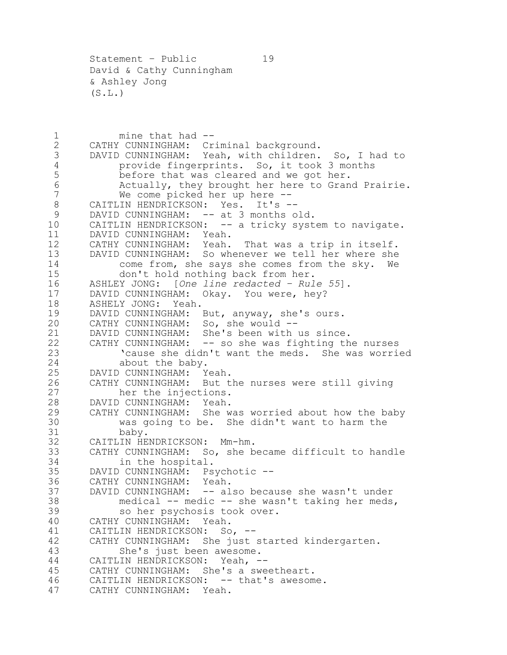Statement – Public 19 David & Cathy Cunningham & Ashley Jong  $(S.L.)$ 

1 mine that had --<br>2 CATHY CUNNINGHAM: Cr 2 CATHY CUNNINGHAM: Criminal background.<br>3 DAVID CUNNINGHAM: Yeah, with children. DAVID CUNNINGHAM: Yeah, with children. So, I had to provide fingerprints. So, it took 3 months before that was cleared and we got her. Actually, they brought her here to Grand Prairie. We come picked her up here -- CAITLIN HENDRICKSON: Yes. It's -- 9 DAVID CUNNINGHAM: -- at 3 months old. 10 CAITLIN HENDRICKSON: -- a tricky system to navigate. DAVID CUNNINGHAM: Yeah. CATHY CUNNINGHAM: Yeah. That was a trip in itself. DAVID CUNNINGHAM: So whenever we tell her where she 14 come from, she says she comes from the sky. We<br>15 don't hold nothing back from her. 15 don't hold nothing back from her.<br>16 ASHLEY JONG: [One line redacted - Rul ASHLEY JONG: [*One line redacted – Rule 55*]. DAVID CUNNINGHAM: Okay. You were, hey? 18 ASHELY JONG: Yeah.<br>19 DAVID CUNNINGHAM: 19 DAVID CUNNINGHAM: But, anyway, she's ours.<br>20 CATHY CUNNINGHAM: So, she would --CATHY CUNNINGHAM: So, she would -- DAVID CUNNINGHAM: She's been with us since. CATHY CUNNINGHAM: -- so she was fighting the nurses 'cause she didn't want the meds. She was worried 24 about the baby. DAVID CUNNINGHAM: Yeah. CATHY CUNNINGHAM: But the nurses were still giving her the injections. DAVID CUNNINGHAM: Yeah. CATHY CUNNINGHAM: She was worried about how the baby was going to be. She didn't want to harm the 31 baby.<br>32 CAITLIN HE CAITLIN HENDRICKSON: Mm-hm. CATHY CUNNINGHAM: So, she became difficult to handle in the hospital. DAVID CUNNINGHAM: Psychotic -- CATHY CUNNINGHAM: Yeah. DAVID CUNNINGHAM: -- also because she wasn't under medical -- medic -- she wasn't taking her meds, so her psychosis took over. CATHY CUNNINGHAM: Yeah. CAITLIN HENDRICKSON: So, -- CATHY CUNNINGHAM: She just started kindergarten. She's just been awesome. CAITLIN HENDRICKSON: Yeah, -- CATHY CUNNINGHAM: She's a sweetheart. 46 CAITLIN HENDRICKSON: -- that's awesome. CATHY CUNNINGHAM: Yeah.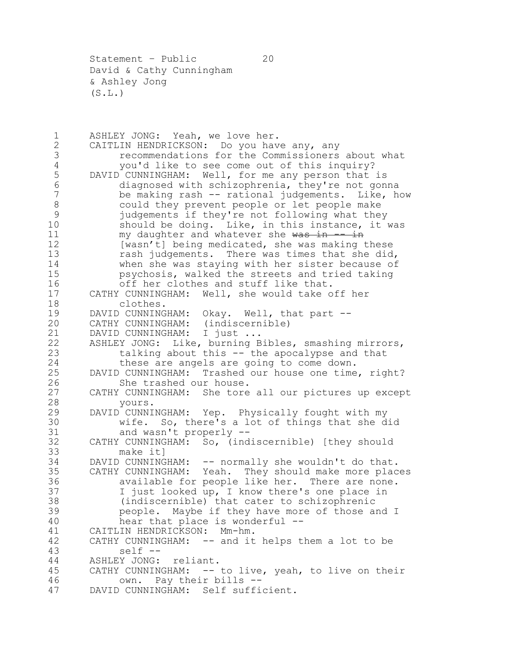Statement - Public 20 David & Cathy Cunningham & Ashley Jong  $(S.L.)$ 

1 ASHLEY JONG: Yeah, we love her.<br>2 CAITLIN HENDRICKSON: Do you hav 2 CAITLIN HENDRICKSON: Do you have any, any<br>3 cecommendations for the Commissioners 3 3 recommendations for the Commissioners about what<br>4 vou'd like to see come out of this inquiry? 4 you'd like to see come out of this inquiry?<br>5 DAVID CUNNINGHAM: Well, for me any person that DAVID CUNNINGHAM: Well, for me any person that is diagnosed with schizophrenia, they're not gonna be making rash -- rational judgements. Like, how could they prevent people or let people make judgements if they're not following what they should be doing. Like, in this instance, it was 11 my daughter and whatever she was in -- in 12 [wasn't] being medicated, she was making these rash judgements. There was times that she did, 14 when she was staying with her sister because of<br>15 sychosis, walked the streets and tried taking psychosis, walked the streets and tried taking off her clothes and stuff like that. CATHY CUNNINGHAM: Well, she would take off her 18 clothes.<br>19 DAVID CUNNING 19 DAVID CUNNINGHAM: Okay. Well, that part --<br>20 CATHY CUNNINGHAM: (indiscernible) CATHY CUNNINGHAM: (indiscernible) 21 DAVID CUNNINGHAM: I just ... ASHLEY JONG: Like, burning Bibles, smashing mirrors, talking about this -- the apocalypse and that these are angels are going to come down. DAVID CUNNINGHAM: Trashed our house one time, right? She trashed our house. CATHY CUNNINGHAM: She tore all our pictures up except yours. DAVID CUNNINGHAM: Yep. Physically fought with my 30 wife. So, there's a lot of things that she did<br>31 and wasn't properly --31 and wasn't properly --<br>32 CATHY CUNNINGHAM: So, (ind CATHY CUNNINGHAM: So, (indiscernible) [they should make it] DAVID CUNNINGHAM: -- normally she wouldn't do that. CATHY CUNNINGHAM: Yeah. They should make more places available for people like her. There are none. I just looked up, I know there's one place in (indiscernible) that cater to schizophrenic people. Maybe if they have more of those and I hear that place is wonderful -- CAITLIN HENDRICKSON: Mm-hm. CATHY CUNNINGHAM: -- and it helps them a lot to be self -- ASHLEY JONG: reliant. CATHY CUNNINGHAM: -- to live, yeah, to live on their own. Pay their bills -- DAVID CUNNINGHAM: Self sufficient.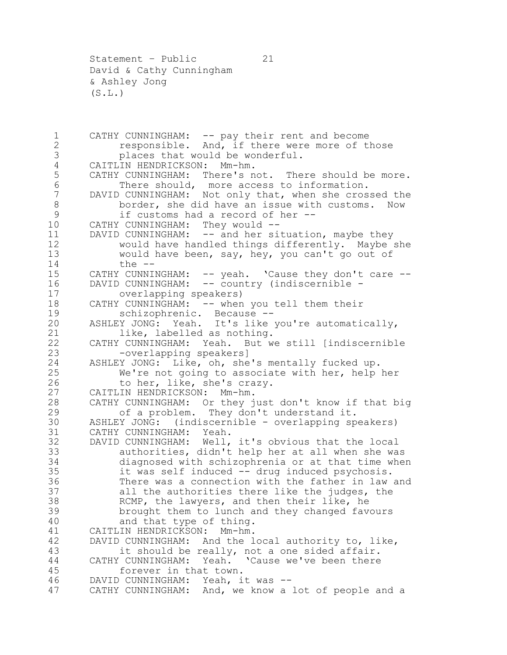Statement - Public 21 David & Cathy Cunningham & Ashley Jong  $(S.L.)$ 

1 CATHY CUNNINGHAM: -- pay their rent and become<br>2 responsible. And, if there were more of t 2 responsible. And, if there were more of those<br>3 blaces that would be wonderful. 3 places that would be wonderful.<br>4 CAITLIN HENDRICKSON: Mm-hm. 4 CAITLIN HENDRICKSON: Mm-hm.<br>5 CATHY CUNNINGHAM: There's n CATHY CUNNINGHAM: There's not. There should be more. There should, more access to information. DAVID CUNNINGHAM: Not only that, when she crossed the 8 border, she did have an issue with customs. Now if customs had a record of her -- CATHY CUNNINGHAM: They would -- DAVID CUNNINGHAM: -- and her situation, maybe they would have handled things differently. Maybe she would have been, say, hey, you can't go out of 14 the --<br>15 CATHY CUNNII CATHY CUNNINGHAM:  $--$  yeah. 'Cause they don't care  $--$ 16 DAVID CUNNINGHAM: -- country (indiscernible - overlapping speakers) 18 CATHY CUNNINGHAM: -- when you tell them their<br>19 schizophrenic. Because -- schizophrenic. Because -- ASHLEY JONG: Yeah. It's like you're automatically, like, labelled as nothing. CATHY CUNNINGHAM: Yeah. But we still [indiscernible -overlapping speakers] ASHLEY JONG: Like, oh, she's mentally fucked up. We're not going to associate with her, help her to her, like, she's crazy. CAITLIN HENDRICKSON: Mm-hm. CATHY CUNNINGHAM: Or they just don't know if that big of a problem. They don't understand it. 30 ASHLEY JONG: (indiscernible - overlapping speakers)<br>31 CATHY CUNNINGHAM: Yeah. 31 CATHY CUNNINGHAM: Yeah.<br>32 DAVID CUNNINGHAM: Well, DAVID CUNNINGHAM: Well, it's obvious that the local authorities, didn't help her at all when she was diagnosed with schizophrenia or at that time when it was self induced -- drug induced psychosis. There was a connection with the father in law and all the authorities there like the judges, the RCMP, the lawyers, and then their like, he brought them to lunch and they changed favours and that type of thing. CAITLIN HENDRICKSON: Mm-hm. DAVID CUNNINGHAM: And the local authority to, like, it should be really, not a one sided affair. CATHY CUNNINGHAM: Yeah. 'Cause we've been there forever in that town. DAVID CUNNINGHAM: Yeah, it was -- CATHY CUNNINGHAM: And, we know a lot of people and a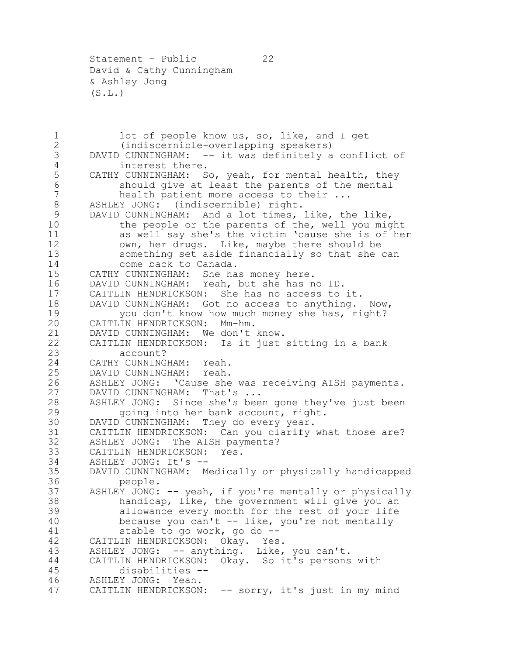Statement - Public 22 David & Cathy Cunningham & Ashley Jong  $(S.L.)$ 

1 lot of people know us, so, like, and I get<br>2 (indiscernible-overlapping speakers) 2 (indiscernible-overlapping speakers)<br>3 DAVID CUNNINGHAM: -- it was definitely a DAVID CUNNINGHAM: -- it was definitely a conflict of interest there. CATHY CUNNINGHAM: So, yeah, for mental health, they should give at least the parents of the mental 7 health patient more access to their ... ASHLEY JONG: (indiscernible) right. DAVID CUNNINGHAM: And a lot times, like, the like, the people or the parents of the, well you might as well say she's the victim 'cause she is of her own, her drugs. Like, maybe there should be something set aside financially so that she can 14 come back to Canada.<br>15 CATHY CUNNINGHAM: She ha CATHY CUNNINGHAM: She has money here. DAVID CUNNINGHAM: Yeah, but she has no ID. CAITLIN HENDRICKSON: She has no access to it. 18 DAVID CUNNINGHAM: Got no access to anything. Now,<br>19 vou don't know how much money she has, right? 19 you don't know how much money she has, right?<br>20 CAITLIN HENDRICKSON: Mm-hm. CAITLIN HENDRICKSON: Mm-hm. DAVID CUNNINGHAM: We don't know. CAITLIN HENDRICKSON: Is it just sitting in a bank account? CATHY CUNNINGHAM: Yeah. DAVID CUNNINGHAM: Yeah. ASHLEY JONG: 'Cause she was receiving AISH payments. DAVID CUNNINGHAM: That's ... ASHLEY JONG: Since she's been gone they've just been going into her bank account, right. 30 DAVID CUNNINGHAM: They do every year.<br>31 CAITLIN HENDRICKSON: Can you clarify CAITLIN HENDRICKSON: Can you clarify what those are? ASHLEY JONG: The AISH payments? CAITLIN HENDRICKSON: Yes. ASHLEY JONG: It's -- DAVID CUNNINGHAM: Medically or physically handicapped people. ASHLEY JONG: -- yeah, if you're mentally or physically handicap, like, the government will give you an allowance every month for the rest of your life because you can't -- like, you're not mentally stable to go work, go do -- CAITLIN HENDRICKSON: Okay. Yes. ASHLEY JONG: -- anything. Like, you can't. CAITLIN HENDRICKSON: Okay. So it's persons with disabilities -- ASHLEY JONG: Yeah. CAITLIN HENDRICKSON: -- sorry, it's just in my mind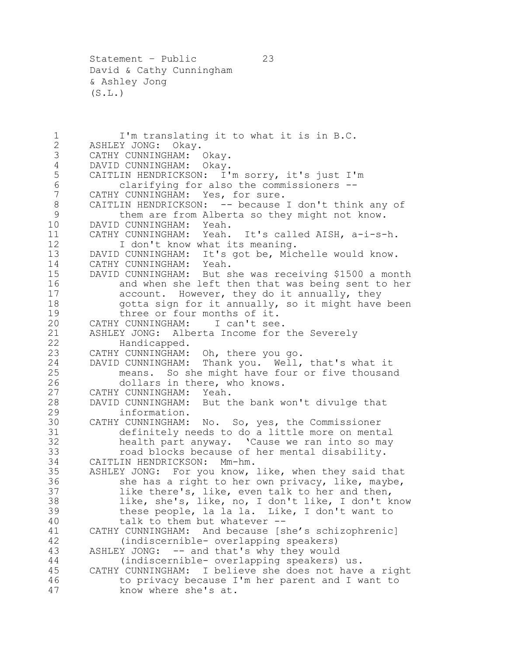Statement – Public 23 David & Cathy Cunningham & Ashley Jong  $(S.L.)$ 

1 I'm translating it to what it is in B.C.<br>2 ASHLEY JONG: Okay. 2 ASHLEY JONG: Okay.<br>3 CATHY CUNNINGHAM: CATHY CUNNINGHAM: Okay. DAVID CUNNINGHAM: Okay. CAITLIN HENDRICKSON: I'm sorry, it's just I'm clarifying for also the commissioners -- CATHY CUNNINGHAM: Yes, for sure. 8 CAITLIN HENDRICKSON: -- because I don't think any of them are from Alberta so they might not know. DAVID CUNNINGHAM: Yeah. CATHY CUNNINGHAM: Yeah. It's called AISH, a-i-s-h. 12 I don't know what its meaning. DAVID CUNNINGHAM: It's got be, Michelle would know. CATHY CUNNINGHAM: Yeah. DAVID CUNNINGHAM: But she was receiving \$1500 a month and when she left then that was being sent to her account. However, they do it annually, they 18 gotta sign for it annually, so it might have been<br>19 three or four months of it. 19 three or four months of it.<br>20 CATHY CUNNINGHAM: I can't see. CATHY CUNNINGHAM: ASHLEY JONG: Alberta Income for the Severely Handicapped. CATHY CUNNINGHAM: Oh, there you go. DAVID CUNNINGHAM: Thank you. Well, that's what it means. So she might have four or five thousand dollars in there, who knows. CATHY CUNNINGHAM: Yeah. DAVID CUNNINGHAM: But the bank won't divulge that information. 30 CATHY CUNNINGHAM: No. So, yes, the Commissioner<br>31 definitely needs to do a little more on ment. 31 definitely needs to do a little more on mental<br>32 health part anyway. 'Cause we ran into so may health part anyway. 'Cause we ran into so may road blocks because of her mental disability. CAITLIN HENDRICKSON: Mm-hm. ASHLEY JONG: For you know, like, when they said that 36 she has a right to her own privacy, like, maybe, like there's, like, even talk to her and then, like, she's, like, no, I don't like, I don't know these people, la la la. Like, I don't want to talk to them but whatever -- CATHY CUNNINGHAM: And because [she's schizophrenic] (indiscernible- overlapping speakers) ASHLEY JONG: -- and that's why they would (indiscernible- overlapping speakers) us. CATHY CUNNINGHAM: I believe she does not have a right to privacy because I'm her parent and I want to know where she's at.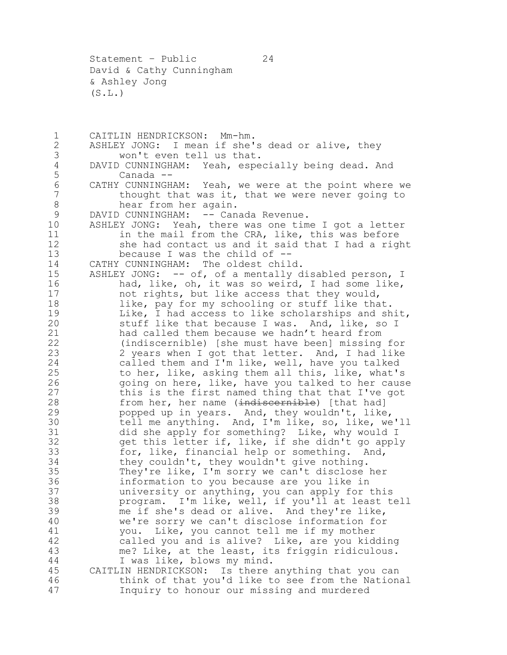Statement – Public 24 David & Cathy Cunningham & Ashley Jong  $(S.L.)$ 

1 CAITLIN HENDRICKSON: Mm-hm.<br>2 ASHLEY JONG: I mean if she' 2 ASHLEY JONG: I mean if she's dead or alive, they<br>3 won't even tell us that. won't even tell us that. 4 DAVID CUNNINGHAM: Yeah, especially being dead. And<br>5 Canada --Canada -- CATHY CUNNINGHAM: Yeah, we were at the point where we 7 thought that was it, that we were never going to hear from her again. 9 DAVID CUNNINGHAM: -- Canada Revenue. ASHLEY JONG: Yeah, there was one time I got a letter 11 in the mail from the CRA, like, this was before she had contact us and it said that I had a right because I was the child of -- CATHY CUNNINGHAM: The oldest child. 15 ASHLEY JONG: -- of, of a mentally disabled person, I had, like, oh, it was so weird, I had some like, not rights, but like access that they would, 18 like, pay for my schooling or stuff like that.<br>19 Like, I had access to like scholarships and sh 19 Like, I had access to like scholarships and shit,<br>20 stuff like that because I was. And, like, so I stuff like that because I was. And, like, so I had called them because we hadn't heard from (indiscernible) [she must have been] missing for 2 years when I got that letter. And, I had like called them and I'm like, well, have you talked to her, like, asking them all this, like, what's going on here, like, have you talked to her cause this is the first named thing that that I've got 28 from her, her name (indiscernible) [that had] popped up in years. And, they wouldn't, like, tell me anything. And, I'm like, so, like, we'll did she apply for something? Like, why would I get this letter if, like, if she didn't go apply for, like, financial help or something. And, they couldn't, they wouldn't give nothing. They're like, I'm sorry we can't disclose her information to you because are you like in university or anything, you can apply for this program. I'm like, well, if you'll at least tell me if she's dead or alive. And they're like, we're sorry we can't disclose information for you. Like, you cannot tell me if my mother called you and is alive? Like, are you kidding me? Like, at the least, its friggin ridiculous. I was like, blows my mind. CAITLIN HENDRICKSON: Is there anything that you can think of that you'd like to see from the National Inquiry to honour our missing and murdered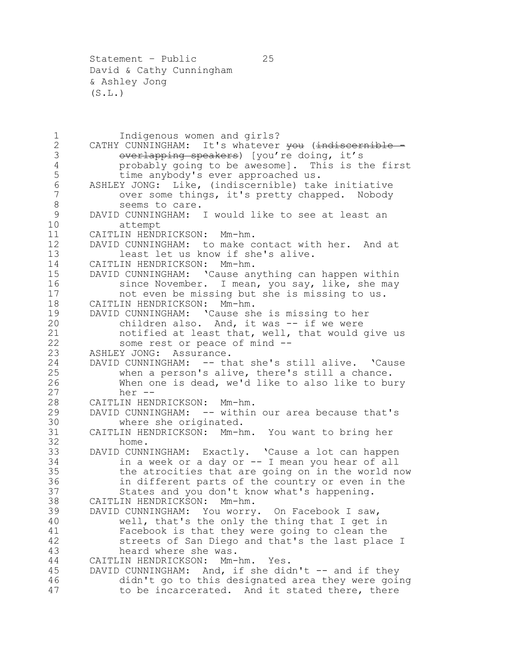Statement – Public 25 David & Cathy Cunningham & Ashley Jong  $(S.L.)$ 

1 Indigenous women and girls?<br>2 CATHY CUNNINGHAM: It's whatever 2 CATHY CUNNINGHAM: It's whatever <del>you</del> (indiscornible -<br>3 overlapping speakers) [you're doing, it's 3 Overlapping speakers) [you're doing, it's<br>4 This is the probably going to be awesomel. This is the probably going to be awesome]. This is the first time anybody's ever approached us. ASHLEY JONG: Like, (indiscernible) take initiative over some things, it's pretty chapped. Nobody 8 seems to care. DAVID CUNNINGHAM: I would like to see at least an attempt CAITLIN HENDRICKSON: Mm-hm. DAVID CUNNINGHAM: to make contact with her. And at least let us know if she's alive. 14 CAITLIN HENDRICKSON: Mm-hm.<br>15 DAVID CUNNINGHAM: 'Cause an DAVID CUNNINGHAM: 'Cause anything can happen within 16 since November. I mean, you say, like, she may not even be missing but she is missing to us. 18 CAITLIN HENDRICKSON: Mm-hm.<br>19 DAVID CUNNINGHAM: 'Cause sh DAVID CUNNINGHAM: 'Cause she is missing to her children also. And, it was -- if we were notified at least that, well, that would give us some rest or peace of mind -- ASHLEY JONG: Assurance. DAVID CUNNINGHAM: -- that she's still alive. 'Cause when a person's alive, there's still a chance. When one is dead, we'd like to also like to bury her -- CAITLIN HENDRICKSON: Mm-hm. DAVID CUNNINGHAM: -- within our area because that's 30 where she originated.<br>31 CAITLIN HENDRICKSON: Mm-h CAITLIN HENDRICKSON: Mm-hm. You want to bring her home. DAVID CUNNINGHAM: Exactly. 'Cause a lot can happen in a week or a day or -- I mean you hear of all the atrocities that are going on in the world now in different parts of the country or even in the States and you don't know what's happening. CAITLIN HENDRICKSON: Mm-hm. DAVID CUNNINGHAM: You worry. On Facebook I saw, well, that's the only the thing that I get in Facebook is that they were going to clean the streets of San Diego and that's the last place I heard where she was. CAITLIN HENDRICKSON: Mm-hm. Yes. 45 DAVID CUNNINGHAM: And, if she didn't -- and if they didn't go to this designated area they were going to be incarcerated. And it stated there, there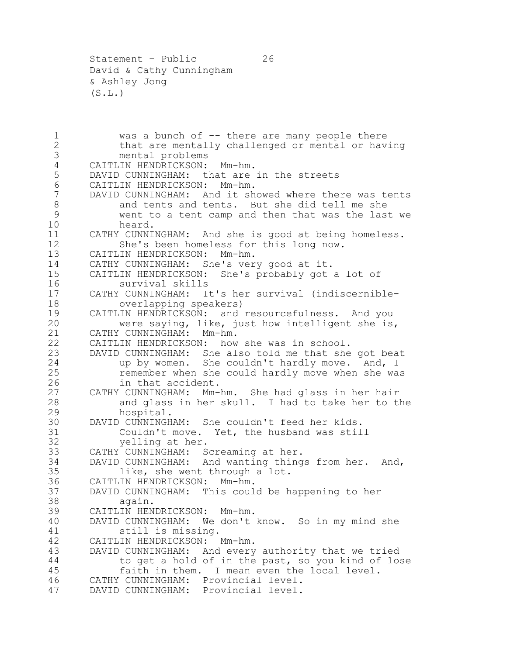1 was a bunch of -- there are many people there<br>2 that are mentally challenged or mental or hay 2 that are mentally challenged or mental or having<br>3 mental problems mental problems CAITLIN HENDRICKSON: Mm-hm. DAVID CUNNINGHAM: that are in the streets CAITLIN HENDRICKSON: Mm-hm. DAVID CUNNINGHAM: And it showed where there was tents and tents and tents. But she did tell me she went to a tent camp and then that was the last we heard. CATHY CUNNINGHAM: And she is good at being homeless. She's been homeless for this long now. CAITLIN HENDRICKSON: Mm-hm. 14 CATHY CUNNINGHAM: She's very good at it.<br>15 CAITLIN HENDRICKSON: She's probably got CAITLIN HENDRICKSON: She's probably got a lot of survival skills CATHY CUNNINGHAM: It's her survival (indiscernible-18 overlapping speakers)<br>19 CAITLIN HENDRICKSON: and 19 CAITLIN HENDRICKSON: and resourcefulness. And you<br>20 were saying, like, just how intelligent she is. were saying, like, just how intelligent she is, CATHY CUNNINGHAM: Mm-hm. CAITLIN HENDRICKSON: how she was in school. DAVID CUNNINGHAM: She also told me that she got beat up by women. She couldn't hardly move. And, I remember when she could hardly move when she was in that accident. CATHY CUNNINGHAM: Mm-hm. She had glass in her hair and glass in her skull. I had to take her to the hospital. 30 DAVID CUNNINGHAM: She couldn't feed her kids.<br>31 Couldn't move. Yet, the husband was stil 31 Couldn't move. Yet, the husband was still<br>32 velling at her. velling at her. CATHY CUNNINGHAM: Screaming at her. DAVID CUNNINGHAM: And wanting things from her. And, like, she went through a lot. CAITLIN HENDRICKSON: Mm-hm. DAVID CUNNINGHAM: This could be happening to her again. CAITLIN HENDRICKSON: Mm-hm. DAVID CUNNINGHAM: We don't know. So in my mind she still is missing. CAITLIN HENDRICKSON: Mm-hm. DAVID CUNNINGHAM: And every authority that we tried to get a hold of in the past, so you kind of lose faith in them. I mean even the local level. CATHY CUNNINGHAM: Provincial level. DAVID CUNNINGHAM: Provincial level.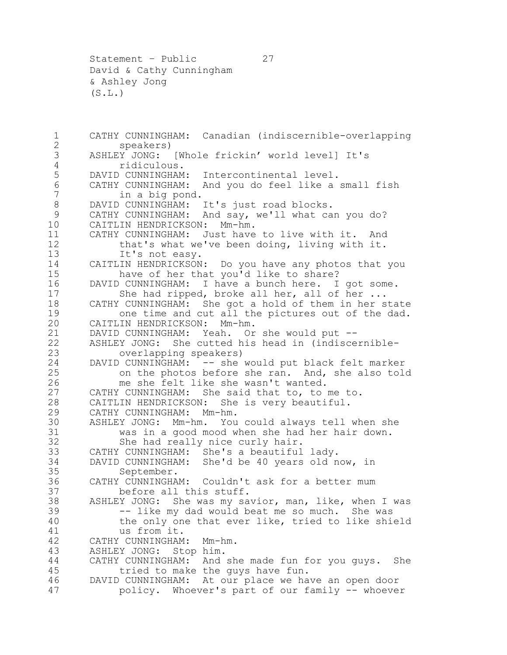Statement – Public 27 David & Cathy Cunningham & Ashley Jong  $(S.L.)$ 

 CATHY CUNNINGHAM: Canadian (indiscernible-overlapping speakers) ASHLEY JONG: [Whole frickin' world level] It's ridiculous. DAVID CUNNINGHAM: Intercontinental level. CATHY CUNNINGHAM: And you do feel like a small fish in a big pond. 8 DAVID CUNNINGHAM: It's just road blocks. CATHY CUNNINGHAM: And say, we'll what can you do? CAITLIN HENDRICKSON: Mm-hm. CATHY CUNNINGHAM: Just have to live with it. And that's what we've been doing, living with it. 13 It's not easy. 14 CAITLIN HENDRICKSON: Do you have any photos that you<br>15 have of her that you'd like to share? 15 have of her that you'd like to share?<br>16 DAVID CUNNINGHAM: I have a bunch here. I DAVID CUNNINGHAM: I have a bunch here. I got some. 17 She had ripped, broke all her, all of her ... 18 CATHY CUNNINGHAM: She got a hold of them in her state<br>19 one time and cut all the pictures out of the dad. 19 one time and cut all the pictures out of the dad.<br>20 CAITLIN HENDRICKSON: Mm-hm. CAITLIN HENDRICKSON: Mm-hm. DAVID CUNNINGHAM: Yeah. Or she would put -- ASHLEY JONG: She cutted his head in (indiscernible- overlapping speakers) DAVID CUNNINGHAM: -- she would put black felt marker on the photos before she ran. And, she also told me she felt like she wasn't wanted. CATHY CUNNINGHAM: She said that to, to me to. CAITLIN HENDRICKSON: She is very beautiful. CATHY CUNNINGHAM: Mm-hm. ASHLEY JONG: Mm-hm. You could always tell when she 31 was in a good mood when she had her hair down.<br>32 She had really nice curly hair. She had really nice curly hair. CATHY CUNNINGHAM: She's a beautiful lady. DAVID CUNNINGHAM: She'd be 40 years old now, in September. CATHY CUNNINGHAM: Couldn't ask for a better mum before all this stuff. ASHLEY JONG: She was my savior, man, like, when I was -- like my dad would beat me so much. She was the only one that ever like, tried to like shield us from it. CATHY CUNNINGHAM: Mm-hm. ASHLEY JONG: Stop him. CATHY CUNNINGHAM: And she made fun for you guys. She tried to make the guys have fun. DAVID CUNNINGHAM: At our place we have an open door policy. Whoever's part of our family -- whoever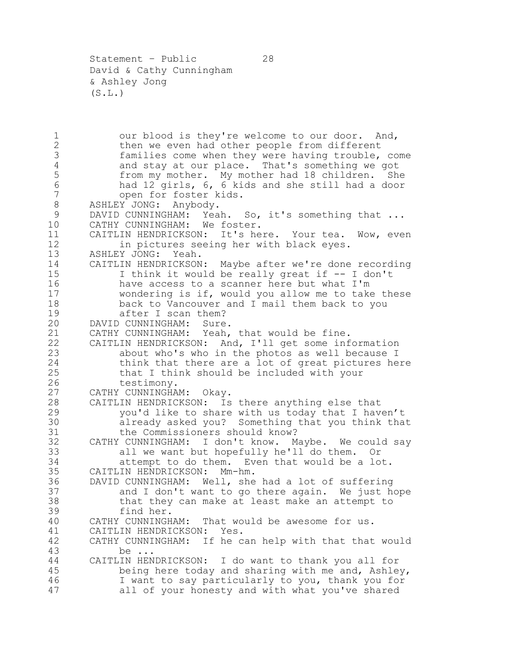Statement – Public 28 David & Cathy Cunningham & Ashley Jong  $(S.L.)$ 

1 our blood is they're welcome to our door. And,<br>2 then we even had other people from different 2 then we even had other people from different<br>3 families come when they were having trouble, families come when they were having trouble, come 4 and stay at our place. That's something we got<br>5 from my mother. My mother had 18 children. She from my mother. My mother had 18 children. She had 12 girls, 6, 6 kids and she still had a door open for foster kids. ASHLEY JONG: Anybody. DAVID CUNNINGHAM: Yeah. So, it's something that ... CATHY CUNNINGHAM: We foster. CAITLIN HENDRICKSON: It's here. Your tea. Wow, even in pictures seeing her with black eyes. ASHLEY JONG: Yeah. CAITLIN HENDRICKSON: Maybe after we're done recording I think it would be really great if -- I don't have access to a scanner here but what I'm wondering is if, would you allow me to take these 18 back to Vancouver and I mail them back to you<br>19 after I scan them? 19 after I scan them?<br>20 DAVID CUNNINGHAM: Sure DAVID CUNNINGHAM: Sure. CATHY CUNNINGHAM: Yeah, that would be fine. CAITLIN HENDRICKSON: And, I'll get some information about who's who in the photos as well because I think that there are a lot of great pictures here that I think should be included with your testimony. CATHY CUNNINGHAM: Okay. CAITLIN HENDRICKSON: Is there anything else that you'd like to share with us today that I haven't already asked you? Something that you think that 31 the Commissioners should know?<br>32 CATHY CUNNINGHAM: I don't know. M CATHY CUNNINGHAM: I don't know. Maybe. We could say all we want but hopefully he'll do them. Or attempt to do them. Even that would be a lot. CAITLIN HENDRICKSON: Mm-hm. DAVID CUNNINGHAM: Well, she had a lot of suffering and I don't want to go there again. We just hope that they can make at least make an attempt to find her. CATHY CUNNINGHAM: That would be awesome for us. CAITLIN HENDRICKSON: Yes. CATHY CUNNINGHAM: If he can help with that that would be ... CAITLIN HENDRICKSON: I do want to thank you all for being here today and sharing with me and, Ashley, I want to say particularly to you, thank you for all of your honesty and with what you've shared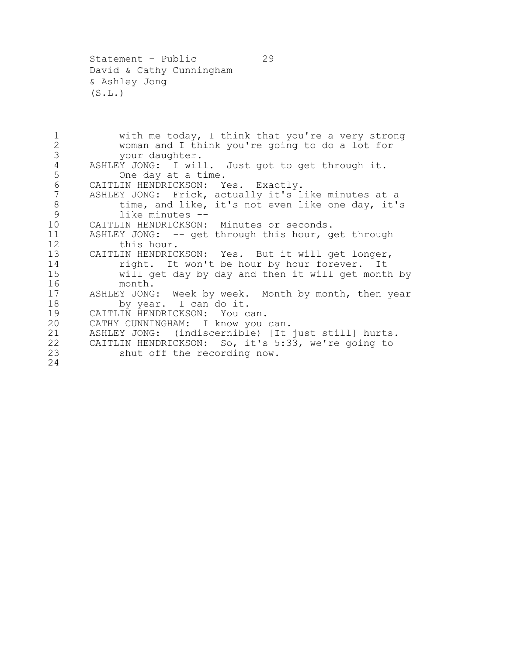Statement – Public 29 David & Cathy Cunningham & Ashley Jong  $(S.L.)$ 

1 with me today, I think that you're a very strong<br>2 woman and I think you're going to do a lot for 2 woman and I think you're going to do a lot for<br>3 your daughter. 3 your daughter.<br>4 ASHLEY JONG: I wil 4 ASHLEY JONG: I will. Just got to get through it.<br>5 One day at a time. One day at a time. 6 CAITLIN HENDRICKSON: Yes. Exactly. 7 ASHLEY JONG: Frick, actually it's like minutes at a 8 time, and like, it's not even like one day, it's 9 like minutes -- 10 CAITLIN HENDRICKSON: Minutes or seconds. 11 ASHLEY JONG: -- get through this hour, get through 12 this hour. 13 CAITLIN HENDRICKSON: Yes. But it will get longer, 14 right. It won't be hour by hour forever. It<br>15 will get day by day and then it will get month will get day by day and then it will get month by 16 month. 17 ASHLEY JONG: Week by week. Month by month, then year 18 by year. I can do it.<br>19 CAITLIN HENDRICKSON: You c 19 CAITLIN HENDRICKSON: You can.<br>20 CATHY CUNNINGHAM: I know you CATHY CUNNINGHAM: I know you can. 21 ASHLEY JONG: (indiscernible) [It just still] hurts. 22 CAITLIN HENDRICKSON: So, it's 5:33, we're going to 23 shut off the recording now. 24